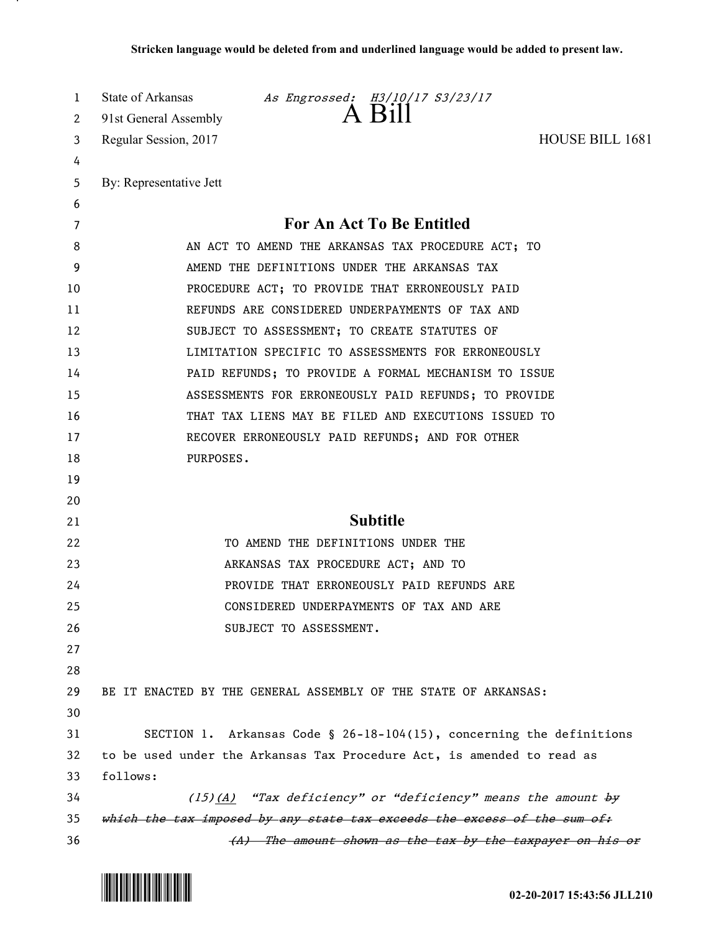| 1  | State of Arkansas<br><i>As Engrossed: 13/10/17 S3/23/17</i>              |
|----|--------------------------------------------------------------------------|
| 2  | 91st General Assembly                                                    |
| 3  | <b>HOUSE BILL 1681</b><br>Regular Session, 2017                          |
| 4  |                                                                          |
| 5  | By: Representative Jett                                                  |
| 6  |                                                                          |
| 7  | <b>For An Act To Be Entitled</b>                                         |
| 8  | AN ACT TO AMEND THE ARKANSAS TAX PROCEDURE ACT; TO                       |
| 9  | AMEND THE DEFINITIONS UNDER THE ARKANSAS TAX                             |
| 10 | PROCEDURE ACT; TO PROVIDE THAT ERRONEOUSLY PAID                          |
| 11 | REFUNDS ARE CONSIDERED UNDERPAYMENTS OF TAX AND                          |
| 12 | SUBJECT TO ASSESSMENT; TO CREATE STATUTES OF                             |
| 13 | LIMITATION SPECIFIC TO ASSESSMENTS FOR ERRONEOUSLY                       |
| 14 | PAID REFUNDS; TO PROVIDE A FORMAL MECHANISM TO ISSUE                     |
| 15 | ASSESSMENTS FOR ERRONEOUSLY PAID REFUNDS; TO PROVIDE                     |
| 16 | THAT TAX LIENS MAY BE FILED AND EXECUTIONS ISSUED TO                     |
| 17 | RECOVER ERRONEOUSLY PAID REFUNDS; AND FOR OTHER                          |
| 18 | PURPOSES.                                                                |
| 19 |                                                                          |
| 20 |                                                                          |
| 21 | <b>Subtitle</b>                                                          |
| 22 | TO AMEND THE DEFINITIONS UNDER THE                                       |
| 23 | ARKANSAS TAX PROCEDURE ACT; AND TO                                       |
| 24 | PROVIDE THAT ERRONEOUSLY PAID REFUNDS ARE                                |
| 25 | CONSIDERED UNDERPAYMENTS OF TAX AND ARE                                  |
| 26 | SUBJECT TO ASSESSMENT.                                                   |
| 27 |                                                                          |
| 28 |                                                                          |
| 29 | BE IT ENACTED BY THE GENERAL ASSEMBLY OF THE STATE OF ARKANSAS:          |
| 30 |                                                                          |
| 31 | SECTION 1. Arkansas Code § 26-18-104(15), concerning the definitions     |
| 32 | to be used under the Arkansas Tax Procedure Act, is amended to read as   |
| 33 | follows:                                                                 |
| 34 | $(15)(A)$ "Tax deficiency" or "deficiency" means the amount by           |
| 35 | which the tax imposed by any state tax exceeds the excess of the sum of: |
| 36 | (A) The amount shown as the tax by the taxpayer on his or                |



л.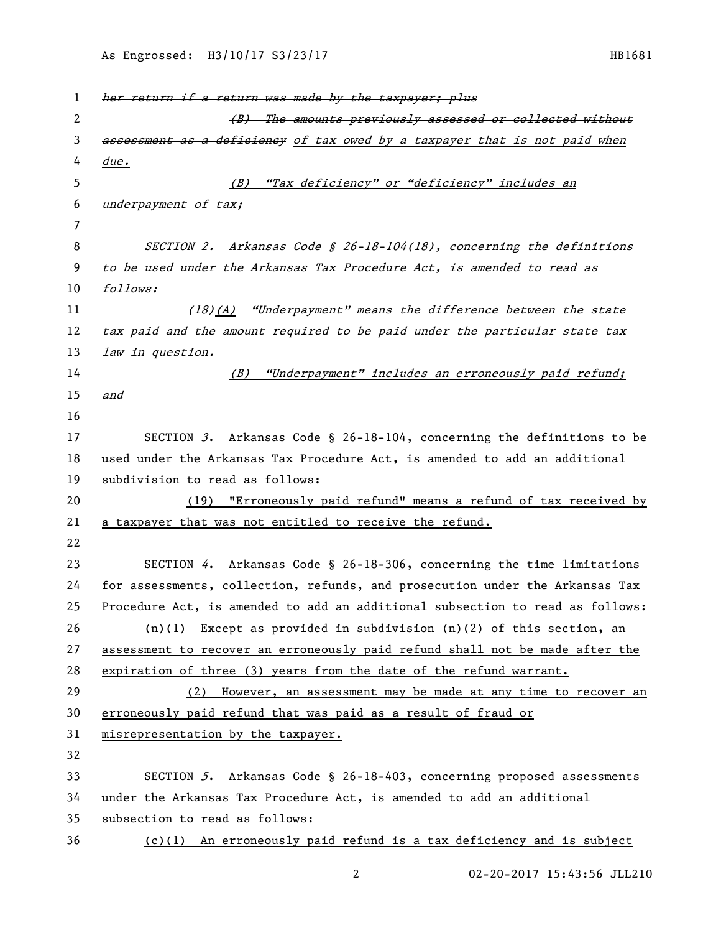1 her return if a return was made by the taxpayer; plus 2 (B) The amounts previously assessed or collected without 3 assessment as a deficiency of tax owed by a taxpayer that is not paid when due. (B) "Tax deficiency" or "deficiency" includes an underpayment of tax; SECTION 2. Arkansas Code § 26-18-104(18), concerning the definitions to be used under the Arkansas Tax Procedure Act, is amended to read as follows: (18)(A) "Underpayment" means the difference between the state tax paid and the amount required to be paid under the particular state tax 13 law in question. 14 (B) "Underpayment" includes an erroneously paid refund; and SECTION 3. Arkansas Code § 26-18-104, concerning the definitions to be used under the Arkansas Tax Procedure Act, is amended to add an additional subdivision to read as follows: (19) "Erroneously paid refund" means a refund of tax received by a taxpayer that was not entitled to receive the refund. SECTION 4. Arkansas Code § 26-18-306, concerning the time limitations for assessments, collection, refunds, and prosecution under the Arkansas Tax Procedure Act, is amended to add an additional subsection to read as follows: (n)(1) Except as provided in subdivision (n)(2) of this section, an assessment to recover an erroneously paid refund shall not be made after the expiration of three (3) years from the date of the refund warrant. (2) However, an assessment may be made at any time to recover an erroneously paid refund that was paid as a result of fraud or misrepresentation by the taxpayer. SECTION 5. Arkansas Code § 26-18-403, concerning proposed assessments under the Arkansas Tax Procedure Act, is amended to add an additional subsection to read as follows: (c)(1) An erroneously paid refund is a tax deficiency and is subject

02-20-2017 15:43:56 JLL210